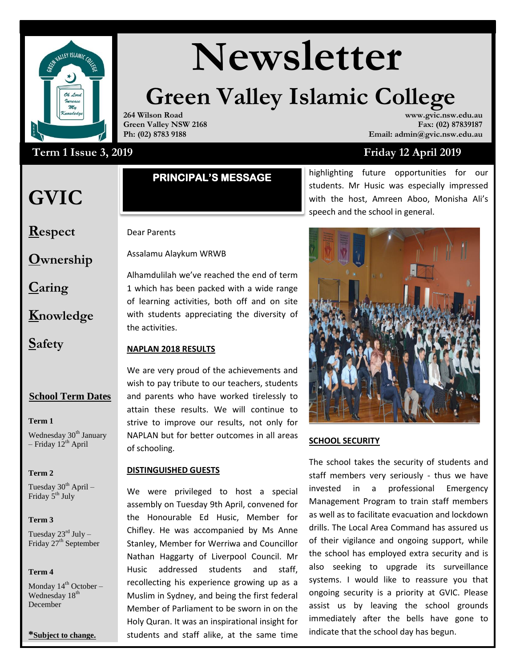

# Wewsletter

# **Green Valley Islamic College**

**264 Wilson Road Green Valley NSW 2168 Ph: (02) 8783 9188**

### Iss  **Term 1 Issue 3, 2019 Friday 12 April 2019**

## **GVIC**

**Respect**

**Ownership**

**Caring**

**Knowledge**

**Safety**

We are very proud of the achievements and wish to pay tribute to our teachers, students and parents who have worked tirelessly to attain these results. We will continue to strive to improve our results, not only for NAPLAN but for better outcomes in all areas of schooling.

#### **DISTINGUISHED GUESTS**

s accompanied by ivis Anne We were privileged to host a special assembly on Tuesday 9th April, convened for the Honourable Ed Husic, Member for Chifley. He was accompanied by Ms Anne Stanley, Member for Werriwa and Councillor Nathan Haggarty of Liverpool Council. Mr Husic addressed students and staff, recollecting his experience growing up as a Muslim in Sydney, and being the first federal Member of Parliament to be sworn in on the Holy Quran. It was an inspirational insight for students and staff alike, at the same time

#### **www.gvic.nsw.edu.au Fax: (02) 87839187 Email: admin@gvic.nsw.edu.au**

highlighting future opportunities for our students. Mr Husic was especially impressed with the host, Amreen Aboo, Monisha Ali's speech and the school in general.



#### **SCHOOL SECURITY**

The school takes the security of students and staff members very seriously - thus we have invested in a professional Emergency Management Program to train staff members as well as to facilitate evacuation and lockdown drills. The Local Area Command has assured us of their vigilance and ongoing support, while the school has employed extra security and is also seeking to upgrade its surveillance systems. I would like to reassure you that ongoing security is a priority at GVIC. Please assist us by leaving the school grounds immediately after the bells have gone to indicate that the school day has begun.

#### **School Term Dates**

**Term 1** 

Wednesday 30<sup>th</sup> January – Friday  $12^{th}$  April

#### **Term 2**

Tuesday  $30^{th}$  April – Friday 5<sup>th</sup> July

#### **Term 3**

Tuesday  $23^{\text{rd}}$  July – Friday 27<sup>th</sup> September

#### **Term 4**

Monday  $14<sup>th</sup>$  October – Wednesday  $18<sup>th</sup>$ December

**\*Subject to change.**

**PRINCIPAL'S MESSAGE** 

Dear Parents

Assalamu Alaykum WRWB

Alhamdulilah we've reached the end of term 1 which has been packed with a wide range of learning activities, both off and on site with students appreciating the diversity of the activities.

#### **NAPLAN 2018 RESULTS**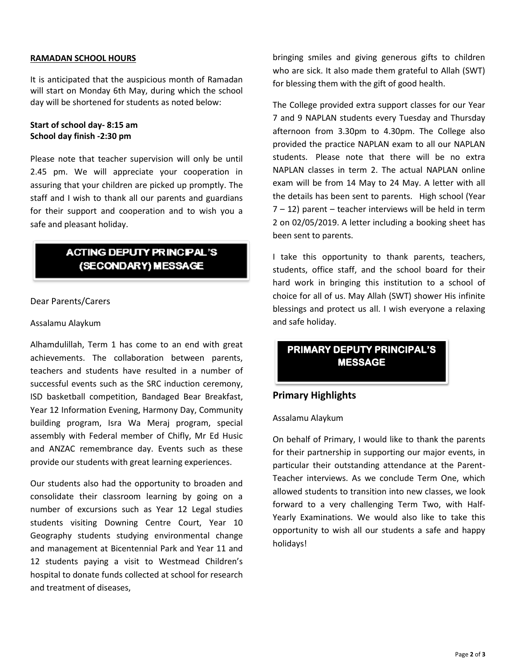#### **RAMADAN SCHOOL HOURS**

It is anticipated that the auspicious month of Ramadan will start on Monday 6th May, during which the school day will be shortened for students as noted below:

#### **Start of school day- 8:15 am School day finish -2:30 pm**

Please note that teacher supervision will only be until 2.45 pm. We will appreciate your cooperation in assuring that your children are picked up promptly. The staff and I wish to thank all our parents and guardians for their support and cooperation and to wish you a safe and pleasant holiday.

#### **ACTING DEPUTY PRINC PAL'S** (SECONDARY) MESSAGE

#### Dear Parents/Carers

#### Assalamu Alaykum

Alhamdulillah, Term 1 has come to an end with great achievements. The collaboration between parents, teachers and students have resulted in a number of successful events such as the SRC induction ceremony, ISD basketball competition, Bandaged Bear Breakfast, Year 12 Information Evening, Harmony Day, Community building program, Isra Wa Meraj program, special assembly with Federal member of Chifly, Mr Ed Husic and ANZAC remembrance day. Events such as these provide our students with great learning experiences.

Our students also had the opportunity to broaden and consolidate their classroom learning by going on a number of excursions such as Year 12 Legal studies students visiting Downing Centre Court, Year 10 Geography students studying environmental change and management at Bicentennial Park and Year 11 and 12 students paying a visit to Westmead Children's hospital to donate funds collected at school for research and treatment of diseases,

bringing smiles and giving generous gifts to children who are sick. It also made them grateful to Allah (SWT) for blessing them with the gift of good health.

The College provided extra support classes for our Year 7 and 9 NAPLAN students every Tuesday and Thursday afternoon from 3.30pm to 4.30pm. The College also provided the practice NAPLAN exam to all our NAPLAN students. Please note that there will be no extra NAPLAN classes in term 2. The actual NAPLAN online exam will be from 14 May to 24 May. A letter with all the details has been sent to parents. High school (Year  $7 - 12$ ) parent – teacher interviews will be held in term 2 on 02/05/2019. A letter including a booking sheet has been sent to parents.

I take this opportunity to thank parents, teachers, students, office staff, and the school board for their hard work in bringing this institution to a school of choice for all of us. May Allah (SWT) shower His infinite blessings and protect us all. I wish everyone a relaxing and safe holiday.

### **PRIMARY DEPUTY PRINCIPAL'S MESSAGE**

#### **Primary Highlights**

#### Assalamu Alaykum

On behalf of Primary, I would like to thank the parents for their partnership in supporting our major events, in particular their outstanding attendance at the Parent-Teacher interviews. As we conclude Term One, which allowed students to transition into new classes, we look forward to a very challenging Term Two, with Half-Yearly Examinations. We would also like to take this opportunity to wish all our students a safe and happy holidays!